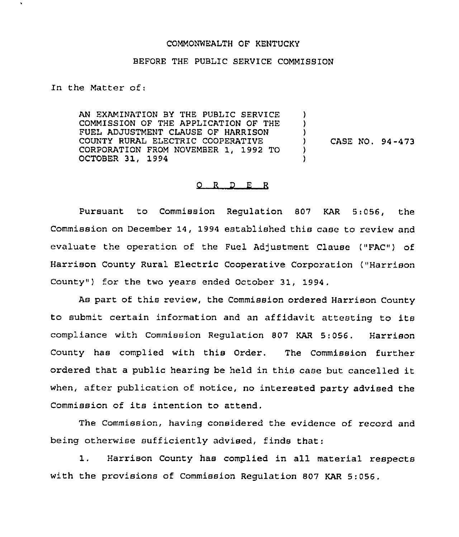## COMMONWEALTH OF KENTUCKY

## BEFORE THE PUBLIC SERVICE COMMISSION

In the Matter of:

AN EXAMINATION BY THE PUBLIC SERVICE COMMISSION OF THE APPLICATION OF THE FUEL ADJUSTMENT CLAUSE OF HARRISON COUNTY RURAL ELECTRIC COOPERATIVE CORPORATION FROM NOVEMBER 1, 1992 TO OCTOBER 31, 1994 ) ) )<br>) ) CASE NO. 94 -473 ) )

## O R D E R

Pursuant to Commission Regulation 807 KAR 5:056, the Commission on December 14, 1994 established this case to review and evaluate the operation of the Fuel Adjustment Clause ("FAC") of Harrison County Rural Electric Cooperative Corporation ("Harrison County") for the two years ended October 31, 1994.

As part of this review, the Commission ordered Harrison County to submit certain information and an affidavit attesting to its compliance with Commission Regulation 807 KAR 5:056. Harrison County has complied with this Order. The Commission further ordered that <sup>a</sup> public hearing be held in this case but cancelled it when, after publication of notice, no interested party advised the Commission of its intention to attend.

The Commission, having considered the evidence of record and being otherwise sufficiently advised, finds that:

1. Harrison County has complied in all material respects with the provisions of Commission Regulation 807 KAR 5:056,